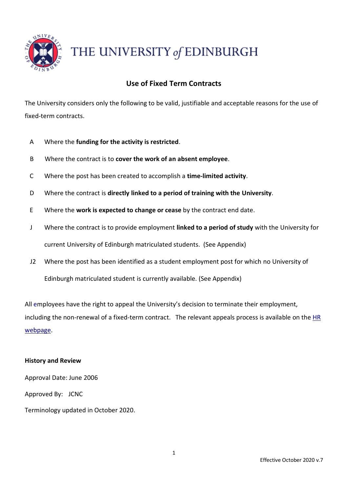

THE UNIVERSITY of EDINBURGH

# **Use of Fixed Term Contracts**

The University considers only the following to be valid, justifiable and acceptable reasons for the use of fixed-term contracts.

- A Where the **funding for the activity is restricted**.
- B Where the contract is to **cover the work of an absent employee**.
- C Where the post has been created to accomplish a **time-limited activity**.
- D Where the contract is **directly linked to a period of training with the University**.
- E Where the **work is expected to change or cease** by the contract end date.
- J Where the contract is to provide employment **linked to a period of study** with the University for current University of Edinburgh matriculated students. (See Appendix)
- J2 Where the post has been identified as a student employment post for which no University of Edinburgh matriculated student is currently available. (See Appendix)

All employees have the right to appeal the University's decision to terminate their employment, including the non-renewal of a fixed-term contract. The relevant appeals process is available on the [HR](https://www.ed.ac.uk/human-resources/policies-guidance/a-to-z-of-policies-and-guidance) [webpage.](https://www.ed.ac.uk/human-resources/policies-guidance/a-to-z-of-policies-and-guidance)

## **History and Review**

Approval Date: June 2006 Approved By: JCNC Terminology updated in October 2020.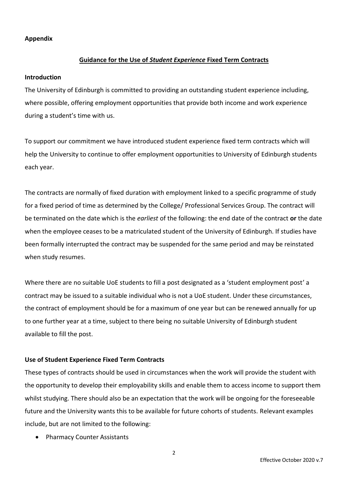### **Appendix**

# **Guidance for the Use of** *Student Experience* **Fixed Term Contracts**

#### **Introduction**

The University of Edinburgh is committed to providing an outstanding student experience including, where possible, offering employment opportunities that provide both income and work experience during a student's time with us.

To support our commitment we have introduced student experience fixed term contracts which will help the University to continue to offer employment opportunities to University of Edinburgh students each year.

The contracts are normally of fixed duration with employment linked to a specific programme of study for a fixed period of time as determined by the College/ Professional Services Group. The contract will be terminated on the date which is the *earliest* of the following: the end date of the contract **or** the date when the employee ceases to be a matriculated student of the University of Edinburgh. If studies have been formally interrupted the contract may be suspended for the same period and may be reinstated when study resumes.

Where there are no suitable UoE students to fill a post designated as a 'student employment post' a contract may be issued to a suitable individual who is not a UoE student. Under these circumstances, the contract of employment should be for a maximum of one year but can be renewed annually for up to one further year at a time, subject to there being no suitable University of Edinburgh student available to fill the post.

## **Use of Student Experience Fixed Term Contracts**

These types of contracts should be used in circumstances when the work will provide the student with the opportunity to develop their employability skills and enable them to access income to support them whilst studying. There should also be an expectation that the work will be ongoing for the foreseeable future and the University wants this to be available for future cohorts of students. Relevant examples include, but are not limited to the following:

• Pharmacy Counter Assistants